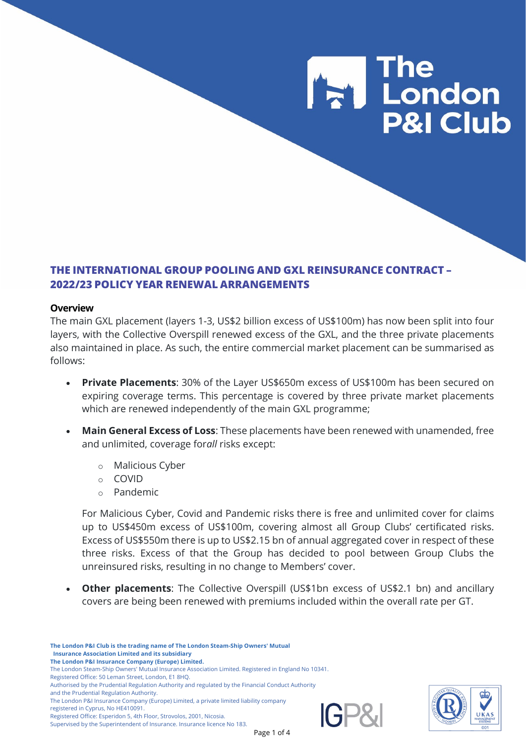

## **THE INTERNATIONAL GROUP POOLING AND GXL REINSURANCE CONTRACT – 2022/23 POLICY YEAR RENEWAL ARRANGEMENTS**

### **Overview**

The main GXL placement (layers 1-3, US\$2 billion excess of US\$100m) has now been split into four layers, with the Collective Overspill renewed excess of the GXL, and the three private placements also maintained in place. As such, the entire commercial market placement can be summarised as follows:

- **Private Placements**: 30% of the Layer US\$650m excess of US\$100m has been secured on expiring coverage terms. This percentage is covered by three private market placements which are renewed independently of the main GXL programme;
- **Main General Excess of Loss**: These placements have been renewed with unamended, free and unlimited, coverage for*all* risks except:
	- o Malicious Cyber
	- o COVID
	- o Pandemic

For Malicious Cyber, Covid and Pandemic risks there is free and unlimited cover for claims up to US\$450m excess of US\$100m, covering almost all Group Clubs' certificated risks. Excess of US\$550m there is up to US\$2.15 bn of annual aggregated cover in respect of these three risks. Excess of that the Group has decided to pool between Group Clubs the unreinsured risks, resulting in no change to Members' cover.

**Other placements:** The Collective Overspill (US\$1bn excess of US\$2.1 bn) and ancillary covers are being been renewed with premiums included within the overall rate per GT.

**The London P&I Club is the trading name of The London Steam-Ship Owners' Mutual Insurance Association Limited and its subsidiary The London P&I Insurance Company (Europe) Limited.**

- Authorised by the Prudential Regulation Authority and regulated by the Financial Conduct Authority
- and the Prudential Regulation Authority.
- The London P&I Insurance Company (Europe) Limited, a private limited liability company registered in Cyprus, No HE410091.

Registered Office: Esperidon 5, 4th Floor, Strovolos, 2001, Nicosia.

Supervised by the Superintendent of Insurance. Insurance licence No 183.





The London Steam-Ship Owners' Mutual Insurance Association Limited. Registered in England No 10341.

Registered Office: 50 Leman Street, London, E1 8HQ.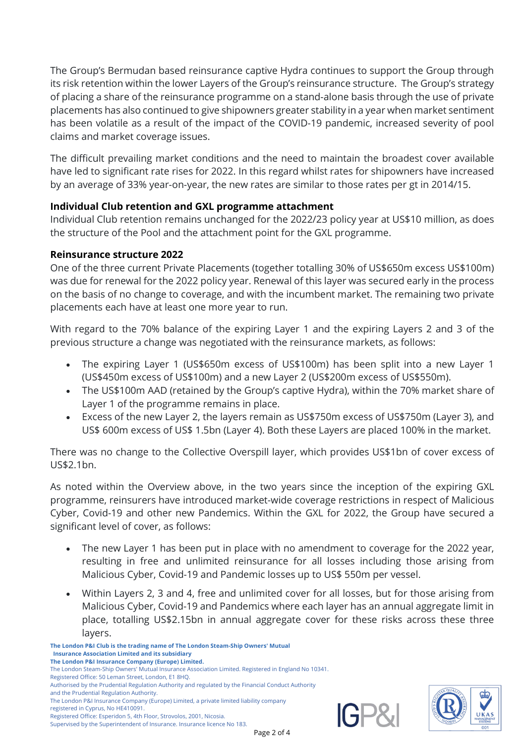The Group's Bermudan based reinsurance captive Hydra continues to support the Group through its risk retention within the lower Layers of the Group's reinsurance structure. The Group's strategy of placing a share of the reinsurance programme on a stand-alone basis through the use of private placements has also continued to give shipowners greater stability in a year when market sentiment has been volatile as a result of the impact of the COVID-19 pandemic, increased severity of pool claims and market coverage issues.

The difficult prevailing market conditions and the need to maintain the broadest cover available have led to significant rate rises for 2022. In this regard whilst rates for shipowners have increased by an average of 33% year-on-year, the new rates are similar to those rates per gt in 2014/15.

# **Individual Club retention and GXL programme attachment**

Individual Club retention remains unchanged for the 2022/23 policy year at US\$10 million, as does the structure of the Pool and the attachment point for the GXL programme.

# **Reinsurance structure 2022**

One of the three current Private Placements (together totalling 30% of US\$650m excess US\$100m) was due for renewal for the 2022 policy year. Renewal of this layer was secured early in the process on the basis of no change to coverage, and with the incumbent market. The remaining two private placements each have at least one more year to run.

With regard to the 70% balance of the expiring Layer 1 and the expiring Layers 2 and 3 of the previous structure a change was negotiated with the reinsurance markets, as follows:

- The expiring Layer 1 (US\$650m excess of US\$100m) has been split into a new Layer 1 (US\$450m excess of US\$100m) and a new Layer 2 (US\$200m excess of US\$550m).
- The US\$100m AAD (retained by the Group's captive Hydra), within the 70% market share of Layer 1 of the programme remains in place.
- Excess of the new Layer 2, the layers remain as US\$750m excess of US\$750m (Layer 3), and US\$ 600m excess of US\$ 1.5bn (Layer 4). Both these Layers are placed 100% in the market.

There was no change to the Collective Overspill layer, which provides US\$1bn of cover excess of US\$2.1bn.

As noted within the Overview above, in the two years since the inception of the expiring GXL programme, reinsurers have introduced market-wide coverage restrictions in respect of Malicious Cyber, Covid-19 and other new Pandemics. Within the GXL for 2022, the Group have secured a significant level of cover, as follows:

- The new Layer 1 has been put in place with no amendment to coverage for the 2022 year, resulting in free and unlimited reinsurance for all losses including those arising from Malicious Cyber, Covid-19 and Pandemic losses up to US\$ 550m per vessel.
- Within Layers 2, 3 and 4, free and unlimited cover for all losses, but for those arising from Malicious Cyber, Covid-19 and Pandemics where each layer has an annual aggregate limit in place, totalling US\$2.15bn in annual aggregate cover for these risks across these three layers.



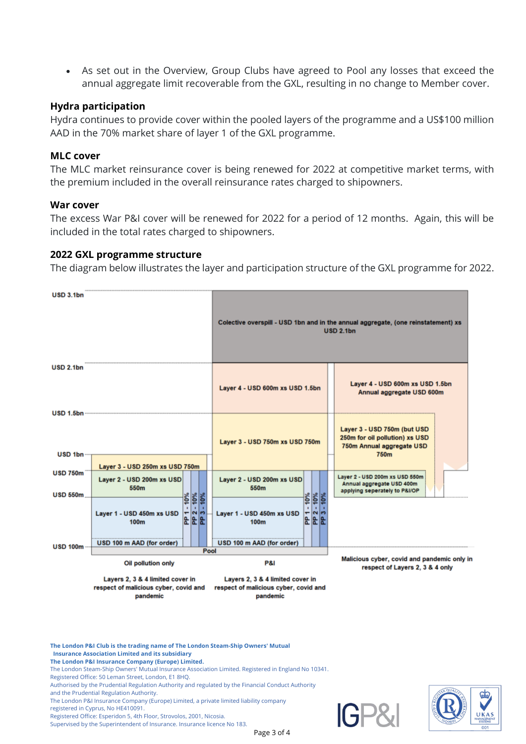• As set out in the Overview, Group Clubs have agreed to Pool any losses that exceed the annual aggregate limit recoverable from the GXL, resulting in no change to Member cover.

## **Hydra participation**

Hydra continues to provide cover within the pooled layers of the programme and a US\$100 million AAD in the 70% market share of layer 1 of the GXL programme.

### **MLC cover**

The MLC market reinsurance cover is being renewed for 2022 at competitive market terms, with the premium included in the overall reinsurance rates charged to shipowners.

### **War cover**

The excess War P&I cover will be renewed for 2022 for a period of 12 months. Again, this will be included in the total rates charged to shipowners.

### **2022 GXL programme structure**

The diagram below illustrates the layer and participation structure of the GXL programme for 2022.



**The London P&I Club is the trading name of The London Steam-Ship Owners' Mutual Insurance Association Limited and its subsidiary**

- **The London P&I Insurance Company (Europe) Limited.**
- The London Steam-Ship Owners' Mutual Insurance Association Limited. Registered in England No 10341. Registered Office: 50 Leman Street, London, E1 8HQ.

Authorised by the Prudential Regulation Authority and regulated by the Financial Conduct Authority and the Prudential Regulation Authority.

The London P&I Insurance Company (Europe) Limited, a private limited liability company

registered in Cyprus, No HE410091.

Registered Office: Esperidon 5, 4th Floor, Strovolos, 2001, Nicosia. Supervised by the Superintendent of Insurance. Insurance licence No 183.